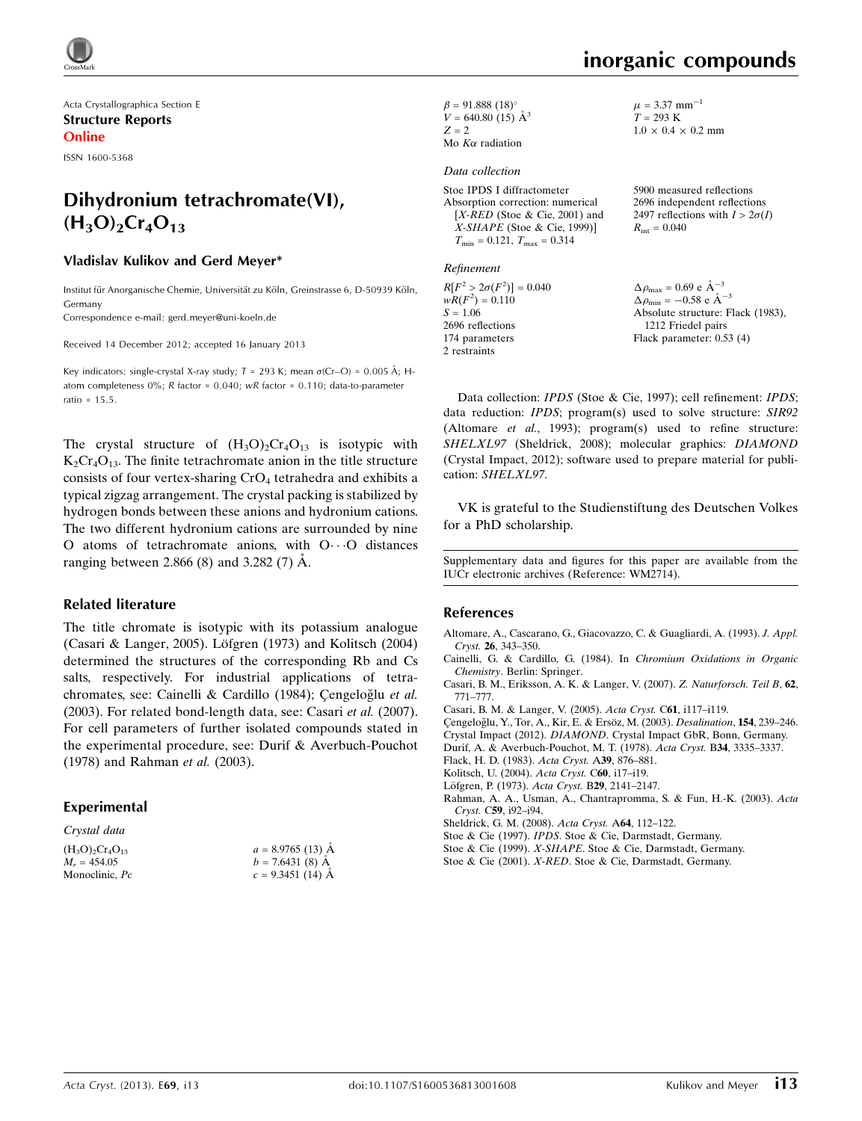

Acta Crystallographica Section E Structure Reports Online

ISSN 1600-5368

# Dihydronium tetrachromate(VI),  $(H_3O)_2Cr_4O_{13}$

#### Vladislav Kulikov and Gerd Meyer\*

Institut für Anorganische Chemie, Universität zu Köln, Greinstrasse 6, D-50939 Köln, Germany

Correspondence e-mail: [gerd.meyer@uni-koeln.de](https://scripts.iucr.org/cgi-bin/cr.cgi?rm=pdfbb&cnor=wm2714&bbid=BB15)

Received 14 December 2012; accepted 16 January 2013

Key indicators: single-crystal X-ray study;  $T = 293$  K; mean  $\sigma$ (Cr–O) = 0.005 Å; Hatom completeness  $0\%$ ; R factor = 0.040; wR factor = 0.110; data-to-parameter ratio = 15.5.

The crystal structure of  $(H_3O)_2Cr_4O_{13}$  is isotypic with  $K_2Cr_4O_{13}$ . The finite tetrachromate anion in the title structure consists of four vertex-sharing CrO<sub>4</sub> tetrahedra and exhibits a typical zigzag arrangement. The crystal packing is stabilized by hydrogen bonds between these anions and hydronium cations. The two different hydronium cations are surrounded by nine O atoms of tetrachromate anions, with  $O \cdot \cdot \cdot O$  distances ranging between 2.866 (8) and 3.282 (7)  $\dot{A}$ .

#### Related literature

The title chromate is isotypic with its potassium analogue (Casari & Langer, 2005). Löfgren (1973) and Kolitsch (2004) determined the structures of the corresponding Rb and Cs salts, respectively. For industrial applications of tetrachromates, see: Cainelli & Cardillo (1984); Çengeloğlu et al. (2003). For related bond-length data, see: Casari et al. (2007). For cell parameters of further isolated compounds stated in the experimental procedure, see: Durif & Averbuch-Pouchot (1978) and Rahman et al. (2003).

#### Experimental

| $a = 8.9765(13)$ Å |
|--------------------|
| $b = 7.6431(8)$ Å  |
| $c = 9.3451(14)$ Å |
|                    |

 $\beta = 91.888 (18)$ °  $V = 640.80(15)$   $\AA^3$  $Z = 2$ Mo  $K\alpha$  radiation

#### Data collection

Stoe IPDS I diffractometer Absorption correction: numerical  $[X$ -RED (Stoe & Cie, 2001) and X-SHAPE (Stoe & Cie, 1999)]  $T_{\text{min}} = 0.121$ ,  $T_{\text{max}} = 0.314$ 

Refinement

 $R[F^2 > 2\sigma(F^2)] = 0.040$  $wR(F^2) = 0.110$  $S = 1.06$ 2696 reflections 174 parameters 2 restraints

 $\mu = 3.37$  mm<sup>-1</sup>  $T = 293 K$  $1.0 \times 0.4 \times 0.2 \text{ mm}$ 

5900 measured reflections 2696 independent reflections 2497 reflections with  $I > 2\sigma(I)$  $R_{\text{int}} = 0.040$ 

 $\Delta \rho_{\text{max}} = 0.69 \text{ e A}^{-3}$  $\Delta \rho_{\rm min} = -0.58 \text{ e A}^{-3}$ Absolute structure: Flack (1983), 1212 Friedel pairs Flack parameter: 0.53 (4)

Data collection: IPDS (Stoe & Cie, 1997); cell refinement: IPDS; data reduction: IPDS; program(s) used to solve structure: SIR92 (Altomare et al., 1993); program(s) used to refine structure: SHELXL97 (Sheldrick, 2008); molecular graphics: DIAMOND (Crystal Impact, 2012); software used to prepare material for publication: SHELXL97.

VK is grateful to the Studienstiftung des Deutschen Volkes for a PhD scholarship.

Supplementary data and figures for this paper are available from the IUCr electronic archives (Reference: WM2714).

#### References

- [Altomare, A., Cascarano, G., Giacovazzo, C. & Guagliardi, A. \(1993\).](https://scripts.iucr.org/cgi-bin/cr.cgi?rm=pdfbb&cnor=wm2714&bbid=BB1) J. Appl. Cryst. 26[, 343–350.](https://scripts.iucr.org/cgi-bin/cr.cgi?rm=pdfbb&cnor=wm2714&bbid=BB1)
- [Cainelli, G. & Cardillo, G. \(1984\). In](https://scripts.iucr.org/cgi-bin/cr.cgi?rm=pdfbb&cnor=wm2714&bbid=BB2) Chromium Oxidations in Organic Chemistry[. Berlin: Springer.](https://scripts.iucr.org/cgi-bin/cr.cgi?rm=pdfbb&cnor=wm2714&bbid=BB2)
- [Casari, B. M., Eriksson, A. K. & Langer, V. \(2007\).](https://scripts.iucr.org/cgi-bin/cr.cgi?rm=pdfbb&cnor=wm2714&bbid=BB3) Z. Naturforsch. Teil B, 62, [771–777.](https://scripts.iucr.org/cgi-bin/cr.cgi?rm=pdfbb&cnor=wm2714&bbid=BB3)
- [Casari, B. M. & Langer, V. \(2005\).](https://scripts.iucr.org/cgi-bin/cr.cgi?rm=pdfbb&cnor=wm2714&bbid=BB4) Acta Cryst. C61, i117–i119.
- Çengeloğlu, Y., Tor, A., Kir, E. & Ersöz, M. (2003). Desalination, 154, 239-246.
- Crystal Impact (2012). DIAMOND[. Crystal Impact GbR, Bonn, Germany.](https://scripts.iucr.org/cgi-bin/cr.cgi?rm=pdfbb&cnor=wm2714&bbid=BB6)
- [Durif, A. & Averbuch-Pouchot, M. T. \(1978\).](https://scripts.iucr.org/cgi-bin/cr.cgi?rm=pdfbb&cnor=wm2714&bbid=BB7) Acta Cryst. B34, 3335–3337.
- [Flack, H. D. \(1983\).](https://scripts.iucr.org/cgi-bin/cr.cgi?rm=pdfbb&cnor=wm2714&bbid=BB8) Acta Cryst. A39, 876–881.
- [Kolitsch, U. \(2004\).](https://scripts.iucr.org/cgi-bin/cr.cgi?rm=pdfbb&cnor=wm2714&bbid=BB9) Acta Cryst. C60, i17–i19.
- Löfgren, P. (1973). Acta Cryst. B29, 2141-2147.
- [Rahman, A. A., Usman, A., Chantrapromma, S. & Fun, H.-K. \(2003\).](https://scripts.iucr.org/cgi-bin/cr.cgi?rm=pdfbb&cnor=wm2714&bbid=BB11) Acta Cryst. C59[, i92–i94.](https://scripts.iucr.org/cgi-bin/cr.cgi?rm=pdfbb&cnor=wm2714&bbid=BB11)
- [Sheldrick, G. M. \(2008\).](https://scripts.iucr.org/cgi-bin/cr.cgi?rm=pdfbb&cnor=wm2714&bbid=BB12) Acta Cryst. A64, 112–122.
- Stoe & Cie (1997). IPDS[. Stoe & Cie, Darmstadt, Germany.](https://scripts.iucr.org/cgi-bin/cr.cgi?rm=pdfbb&cnor=wm2714&bbid=BB13)
- Stoe & Cie (1999). X-SHAPE[. Stoe & Cie, Darmstadt, Germany.](https://scripts.iucr.org/cgi-bin/cr.cgi?rm=pdfbb&cnor=wm2714&bbid=BB14)
- Stoe & Cie (2001). X-RED[. Stoe & Cie, Darmstadt, Germany.](https://scripts.iucr.org/cgi-bin/cr.cgi?rm=pdfbb&cnor=wm2714&bbid=BB15)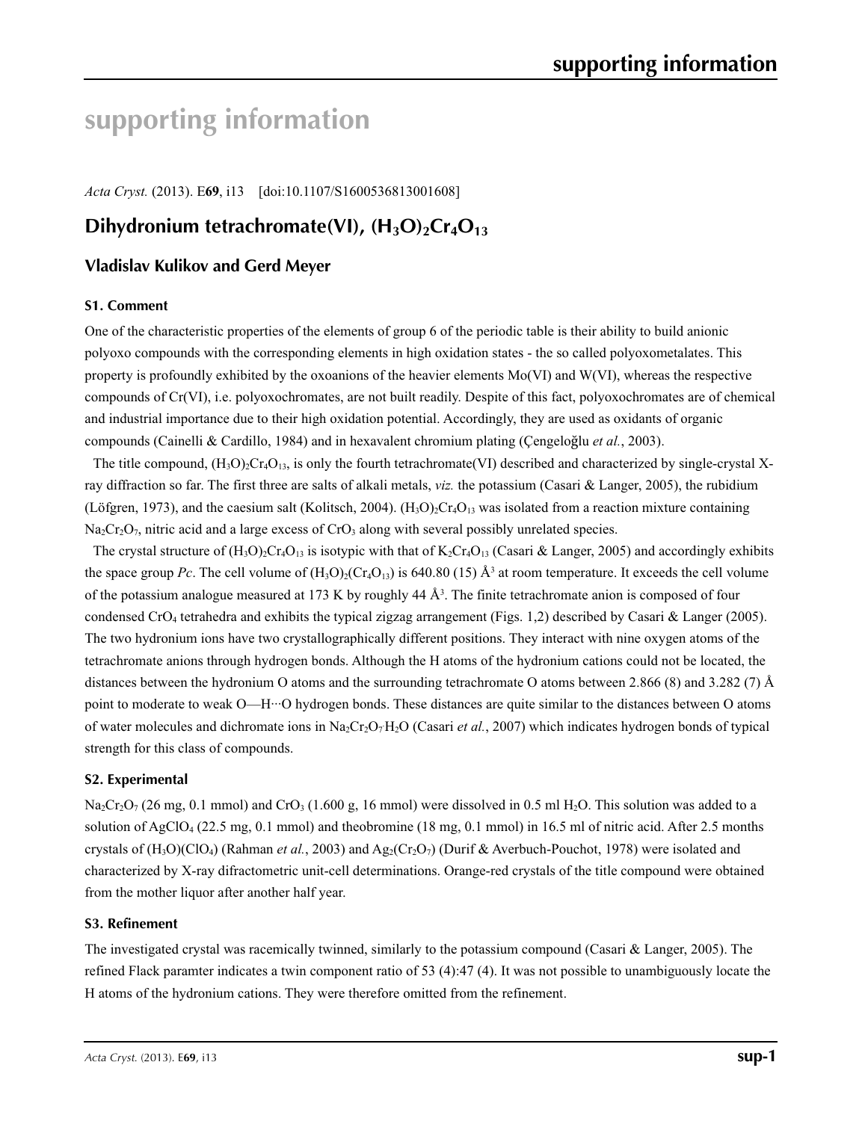# **supporting information**

*Acta Cryst.* (2013). E**69**, i13 [doi:10.1107/S1600536813001608]

# **Dihydronium tetrachromate(VI), (H<sub>3</sub>O)<sub>2</sub>Cr<sub>4</sub>O<sub>13</sub>**

# **Vladislav Kulikov and Gerd Meyer**

### **S1. Comment**

One of the characteristic properties of the elements of group 6 of the periodic table is their ability to build anionic polyoxo compounds with the corresponding elements in high oxidation states - the so called polyoxometalates. This property is profoundly exhibited by the oxoanions of the heavier elements Mo(VI) and W(VI), whereas the respective compounds of Cr(VI), i.e. polyoxochromates, are not built readily. Despite of this fact, polyoxochromates are of chemical and industrial importance due to their high oxidation potential. Accordingly, they are used as oxidants of organic compounds (Cainelli & Cardillo, 1984) and in hexavalent chromium plating (Çengeloǧlu *et al.*, 2003).

The title compound,  $(H_3O)_{2}Cr_4O_{13}$ , is only the fourth tetrachromate(VI) described and characterized by single-crystal Xray diffraction so far. The first three are salts of alkali metals, *viz.* the potassium (Casari & Langer, 2005), the rubidium (Löfgren, 1973), and the caesium salt (Kolitsch, 2004).  $(H_3O)_2Cr_4O_{13}$  was isolated from a reaction mixture containing  $Na<sub>2</sub>Cr<sub>2</sub>O<sub>7</sub>$ , nitric acid and a large excess of CrO<sub>3</sub> along with several possibly unrelated species.

The crystal structure of  $(H_3O)_2Cr_4O_{13}$  is isotypic with that of  $K_2Cr_4O_{13}$  (Casari & Langer, 2005) and accordingly exhibits the space group Pc. The cell volume of  $(H_3O)_2(Cr_4O_{13})$  is 640.80 (15)  $\AA^3$  at room temperature. It exceeds the cell volume of the potassium analogue measured at 173 K by roughly  $44 \text{ Å}^3$ . The finite tetrachromate anion is composed of four condensed CrO4 tetrahedra and exhibits the typical zigzag arrangement (Figs. 1,2) described by Casari & Langer (2005). The two hydronium ions have two crystallographically different positions. They interact with nine oxygen atoms of the tetrachromate anions through hydrogen bonds. Although the H atoms of the hydronium cations could not be located, the distances between the hydronium O atoms and the surrounding tetrachromate O atoms between 2.866 (8) and 3.282 (7) Å point to moderate to weak O—H···O hydrogen bonds. These distances are quite similar to the distances between O atoms of water molecules and dichromate ions in Na<sub>2</sub>Cr<sub>2</sub>O<sub>7</sub>H<sub>2</sub>O (Casari *et al.*, 2007) which indicates hydrogen bonds of typical strength for this class of compounds.

### **S2. Experimental**

 $Na_2Cr_2O_7$  (26 mg, 0.1 mmol) and CrO<sub>3</sub> (1.600 g, 16 mmol) were dissolved in 0.5 ml H<sub>2</sub>O. This solution was added to a solution of AgClO4 (22.5 mg, 0.1 mmol) and theobromine (18 mg, 0.1 mmol) in 16.5 ml of nitric acid. After 2.5 months crystals of  $(H_3O)(ClO_4)$  (Rahman *et al.*, 2003) and  $Ag_2(Cr_2O_7)$  (Durif & Averbuch-Pouchot, 1978) were isolated and characterized by X-ray difractometric unit-cell determinations. Orange-red crystals of the title compound were obtained from the mother liquor after another half year.

### **S3. Refinement**

The investigated crystal was racemically twinned, similarly to the potassium compound (Casari & Langer, 2005). The refined Flack paramter indicates a twin component ratio of 53 (4):47 (4). It was not possible to unambiguously locate the H atoms of the hydronium cations. They were therefore omitted from the refinement.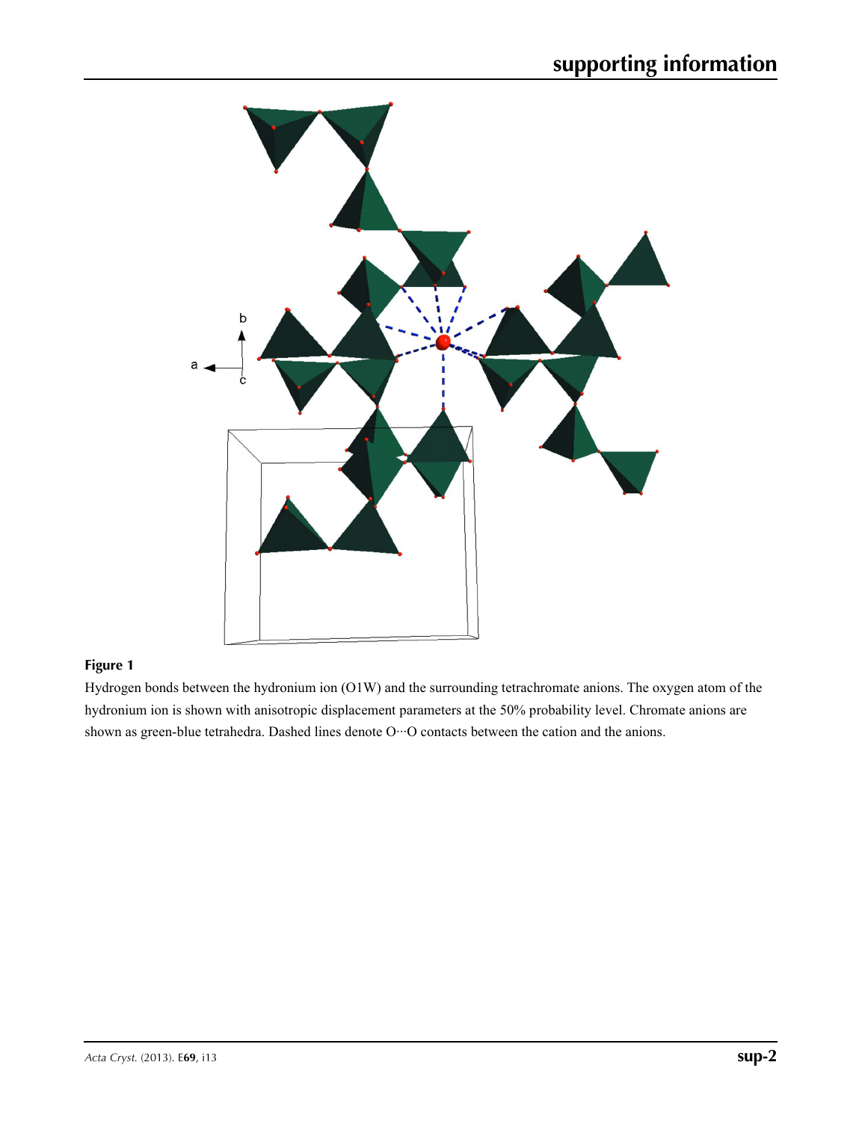

## **Figure 1**

Hydrogen bonds between the hydronium ion (O1W) and the surrounding tetrachromate anions. The oxygen atom of the hydronium ion is shown with anisotropic displacement parameters at the 50% probability level. Chromate anions are shown as green-blue tetrahedra. Dashed lines denote O··· O contacts between the cation and the anions.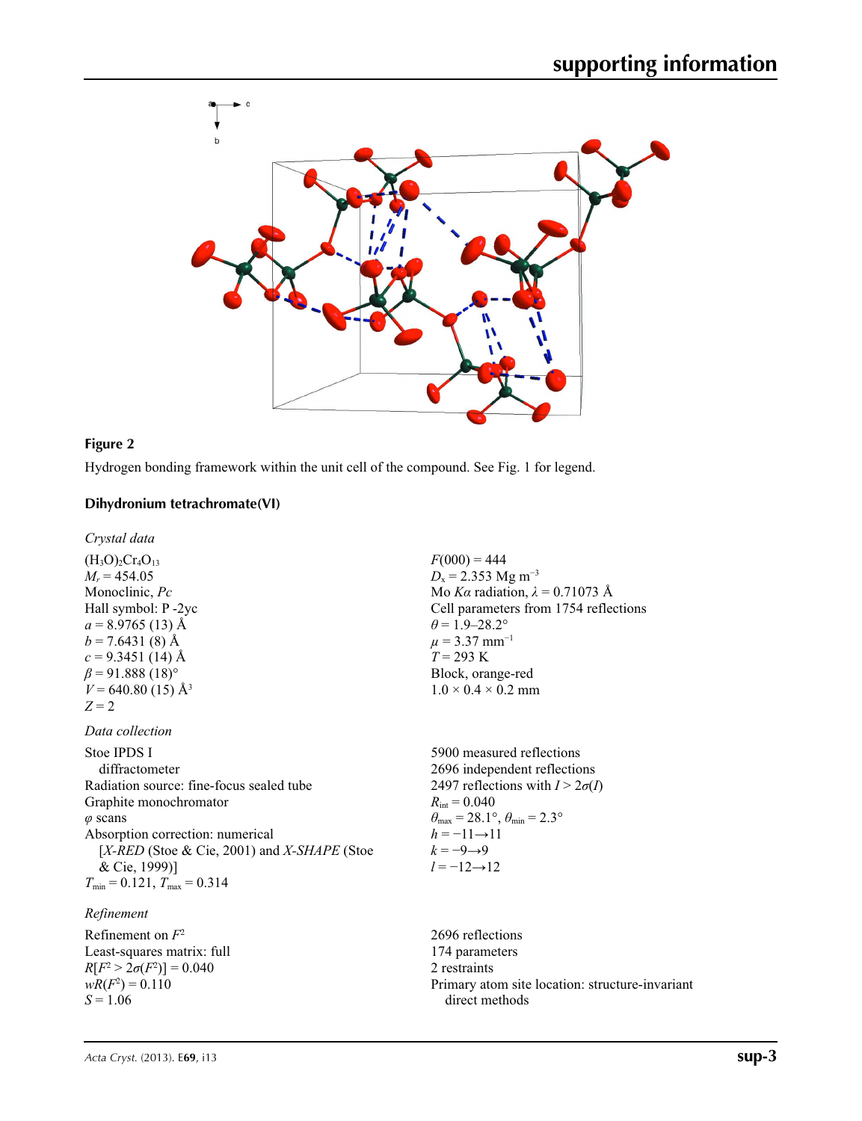

### **Figure 2**

Hydrogen bonding framework within the unit cell of the compound. See Fig. 1 for legend.

## **Dihydronium tetrachromate(VI)**

*Crystal data*

 $(H_3O)_2Cr_4O_{13}$  $M_r = 454.05$ Monoclinic, *Pc* Hall symbol: P -2yc  $a = 8.9765(13)$  Å  $b = 7.6431(8)$  Å  $c = 9.3451(14)$  Å  $\beta$  = 91.888 (18)<sup>o</sup>  $V = 640.80$  (15) Å<sup>3</sup>  $Z = 2$ 

#### *Data collection*

Stoe IPDS I diffractometer Radiation source: fine-focus sealed tube Graphite monochromator *φ* scans Absorption correction: numerical [*X-RED* (Stoe & Cie, 2001) and *X-SHAPE* (Stoe & Cie, 1999)]  $T_{\text{min}} = 0.121$ ,  $T_{\text{max}} = 0.314$ 

## *Refinement*

Refinement on *F*<sup>2</sup> Least-squares matrix: full  $R[F^2 > 2\sigma(F^2)] = 0.040$  $wR(F^2) = 0.110$ *S* = 1.06

 $F(000) = 444$  $D_x = 2.353$  Mg m<sup>-3</sup> Mo *Kα* radiation, *λ* = 0.71073 Å Cell parameters from 1754 reflections  $\theta$  = 1.9–28.2°  $\mu$  = 3.37 mm<sup>-1</sup> *T* = 293 K Block, orange-red  $1.0 \times 0.4 \times 0.2$  mm

5900 measured reflections 2696 independent reflections 2497 reflections with  $I > 2\sigma(I)$  $R_{\text{int}} = 0.040$  $\theta_{\text{max}} = 28.1^{\circ}, \theta_{\text{min}} = 2.3^{\circ}$  $h = -11 \rightarrow 11$  $k = -9 \rightarrow 9$ *l* = −12→12

2696 reflections 174 parameters 2 restraints Primary atom site location: structure-invariant direct methods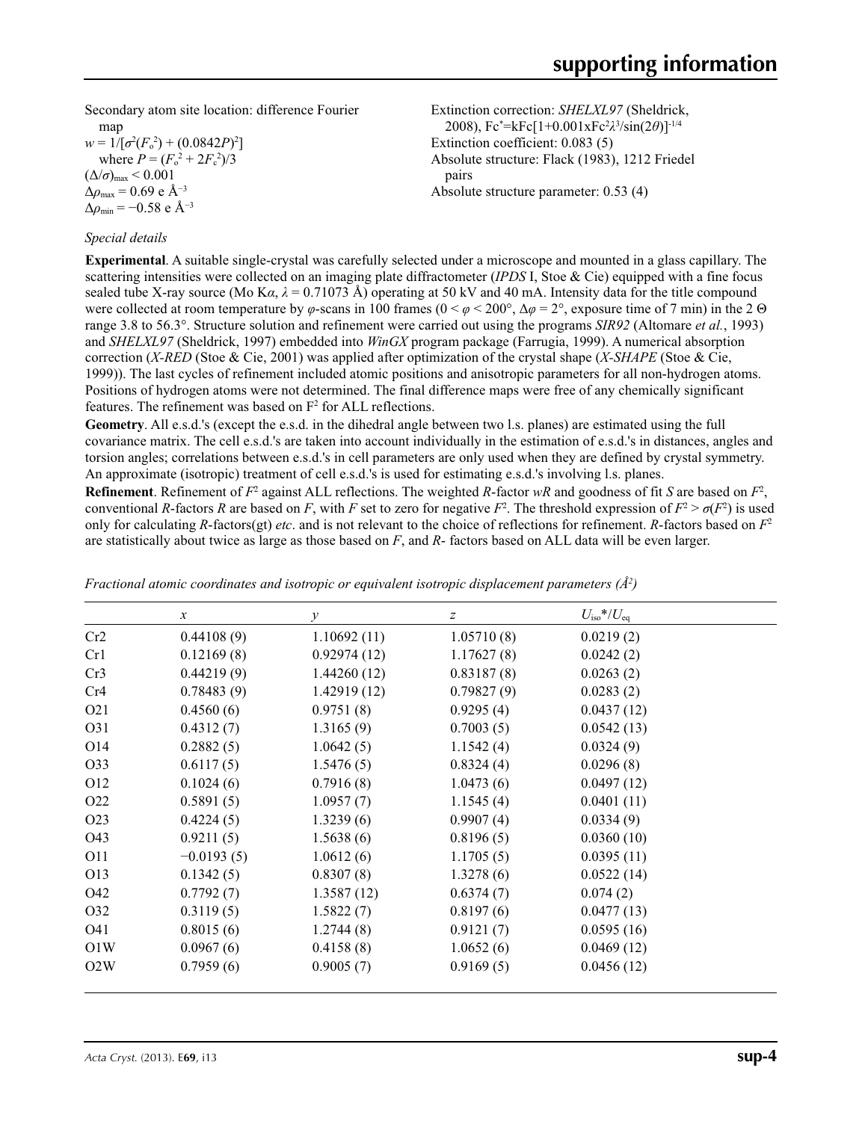Secondary atom site location: difference Fourier

map  $w = 1/[\sigma^2 (F_o^2) + (0.0842P)^2]$ where  $P = (F_o^2 + 2F_c^2)/3$  $(\Delta/\sigma)_{\text{max}}$  < 0.001 Δ*ρ*max = 0.69 e Å−3  $\Delta \rho_{\rm min} = -0.58$  e Å<sup>-3</sup>

### *Special details*

Extinction correction: *SHELXL97* (Sheldrick, 2008), Fc\* =kFc[1+0.001xFc2 *λ*3 /sin(2*θ*)]-1/4 Extinction coefficient: 0.083 (5) Absolute structure: Flack (1983), 1212 Friedel pairs Absolute structure parameter: 0.53 (4)

**Experimental**. A suitable single-crystal was carefully selected under a microscope and mounted in a glass capillary. The scattering intensities were collected on an imaging plate diffractometer (*IPDS* I, Stoe & Cie) equipped with a fine focus sealed tube X-ray source (Mo K $\alpha$ ,  $\lambda$  = 0.71073 Å) operating at 50 kV and 40 mA. Intensity data for the title compound were collected at room temperature by  $\varphi$ -scans in 100 frames ( $0 < \varphi < 200^{\circ}$ ,  $\Delta \varphi = 2^{\circ}$ , exposure time of 7 min) in the 2  $\Theta$ range 3.8 to 56.3°. Structure solution and refinement were carried out using the programs *SIR92* (Altomare *et al.*, 1993) and *SHELXL97* (Sheldrick, 1997) embedded into *WinGX* program package (Farrugia, 1999). A numerical absorption correction (*X-RED* (Stoe & Cie, 2001) was applied after optimization of the crystal shape (*X-SHAPE* (Stoe & Cie, 1999)). The last cycles of refinement included atomic positions and anisotropic parameters for all non-hydrogen atoms. Positions of hydrogen atoms were not determined. The final difference maps were free of any chemically significant features. The refinement was based on  $F<sup>2</sup>$  for ALL reflections.

**Geometry**. All e.s.d.'s (except the e.s.d. in the dihedral angle between two l.s. planes) are estimated using the full covariance matrix. The cell e.s.d.'s are taken into account individually in the estimation of e.s.d.'s in distances, angles and torsion angles; correlations between e.s.d.'s in cell parameters are only used when they are defined by crystal symmetry. An approximate (isotropic) treatment of cell e.s.d.'s is used for estimating e.s.d.'s involving l.s. planes.

**Refinement**. Refinement of  $F^2$  against ALL reflections. The weighted *R*-factor  $wR$  and goodness of fit *S* are based on  $F^2$ , conventional *R*-factors *R* are based on *F*, with *F* set to zero for negative  $F^2$ . The threshold expression of  $F^2 > \sigma(F^2)$  is used only for calculating *R*-factors(gt) *etc*. and is not relevant to the choice of reflections for refinement. *R*-factors based on *F*<sup>2</sup> are statistically about twice as large as those based on *F*, and *R*- factors based on ALL data will be even larger.

|                  | $\mathcal{X}$ | $\mathcal{Y}$ | $\boldsymbol{Z}$ | $U_{\text{iso}}$ */ $U_{\text{eq}}$ |  |
|------------------|---------------|---------------|------------------|-------------------------------------|--|
| Cr2              | 0.44108(9)    | 1.10692(11)   | 1.05710(8)       | 0.0219(2)                           |  |
| Cr1              | 0.12169(8)    | 0.92974(12)   | 1.17627(8)       | 0.0242(2)                           |  |
| Cr3              | 0.44219(9)    | 1.44260(12)   | 0.83187(8)       | 0.0263(2)                           |  |
| Cr4              | 0.78483(9)    | 1.42919(12)   | 0.79827(9)       | 0.0283(2)                           |  |
| O <sub>21</sub>  | 0.4560(6)     | 0.9751(8)     | 0.9295(4)        | 0.0437(12)                          |  |
| O31              | 0.4312(7)     | 1.3165(9)     | 0.7003(5)        | 0.0542(13)                          |  |
| O <sub>14</sub>  | 0.2882(5)     | 1.0642(5)     | 1.1542(4)        | 0.0324(9)                           |  |
| O33              | 0.6117(5)     | 1.5476(5)     | 0.8324(4)        | 0.0296(8)                           |  |
| O <sub>12</sub>  | 0.1024(6)     | 0.7916(8)     | 1.0473(6)        | 0.0497(12)                          |  |
| O <sub>22</sub>  | 0.5891(5)     | 1.0957(7)     | 1.1545(4)        | 0.0401(11)                          |  |
| O <sub>2</sub> 3 | 0.4224(5)     | 1.3239(6)     | 0.9907(4)        | 0.0334(9)                           |  |
| O43              | 0.9211(5)     | 1.5638(6)     | 0.8196(5)        | 0.0360(10)                          |  |
| O11              | $-0.0193(5)$  | 1.0612(6)     | 1.1705(5)        | 0.0395(11)                          |  |
| O13              | 0.1342(5)     | 0.8307(8)     | 1.3278(6)        | 0.0522(14)                          |  |
| O42              | 0.7792(7)     | 1.3587(12)    | 0.6374(7)        | 0.074(2)                            |  |
| O32              | 0.3119(5)     | 1.5822(7)     | 0.8197(6)        | 0.0477(13)                          |  |
| O41              | 0.8015(6)     | 1.2744(8)     | 0.9121(7)        | 0.0595(16)                          |  |
| O1W              | 0.0967(6)     | 0.4158(8)     | 1.0652(6)        | 0.0469(12)                          |  |
| O2W              | 0.7959(6)     | 0.9005(7)     | 0.9169(5)        | 0.0456(12)                          |  |

*Fractional atomic coordinates and isotropic or equivalent isotropic displacement parameters (Å2 )*